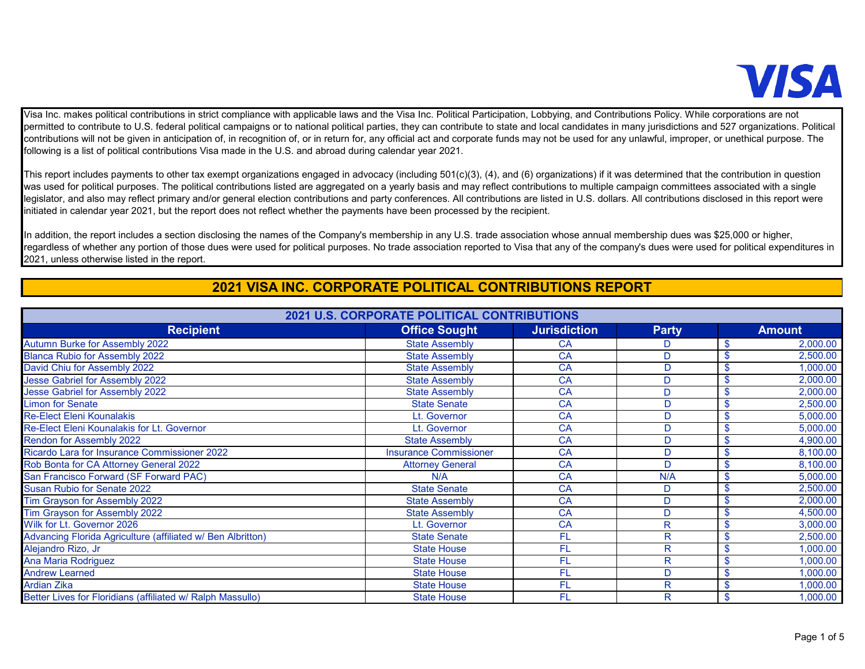

Visa Inc. makes political contributions in strict compliance with applicable laws and the Visa Inc. Political Participation, Lobbying, and Contributions Policy. While corporations are not permitted to contribute to U.S. federal political campaigns or to national political parties, they can contribute to state and local candidates in many jurisdictions and 527 organizations. Political contributions will not be given in anticipation of, in recognition of, or in return for, any official act and corporate funds may not be used for any unlawful, improper, or unethical purpose. The following is a list of political contributions Visa made in the U.S. and abroad during calendar year 2021.

This report includes payments to other tax exempt organizations engaged in advocacy (including 501(c)(3), (4), and (6) organizations) if it was determined that the contribution in question was used for political purposes. The political contributions listed are aggregated on a yearly basis and may reflect contributions to multiple campaign committees associated with a single legislator, and also may reflect primary and/or general election contributions and party conferences. All contributions are listed in U.S. dollars. All contributions disclosed in this report were initiated in calendar year 2021, but the report does not reflect whether the payments have been processed by the recipient.

In addition, the report includes a section disclosing the names of the Company's membership in any U.S. trade association whose annual membership dues was \$25,000 or higher, regardless of whether any portion of those dues were used for political purposes. No trade association reported to Visa that any of the company's dues were used for political expenditures in 2021, unless otherwise listed in the report.

## **2021 VISA INC. CORPORATE POLITICAL CONTRIBUTIONS REPORT**

| 2021 U.S. CORPORATE POLITICAL CONTRIBUTIONS                 |                               |                     |              |                                       |  |
|-------------------------------------------------------------|-------------------------------|---------------------|--------------|---------------------------------------|--|
| <b>Recipient</b>                                            | <b>Office Sought</b>          | <b>Jurisdiction</b> | <b>Party</b> | <b>Amount</b>                         |  |
| <b>Autumn Burke for Assembly 2022</b>                       | <b>State Assembly</b>         | <b>CA</b>           | D            | 2,000.00                              |  |
| <b>Blanca Rubio for Assembly 2022</b>                       | <b>State Assembly</b>         | CA                  | D            | 2,500.00<br>S                         |  |
| David Chiu for Assembly 2022                                | <b>State Assembly</b>         | <b>CA</b>           | D            | \$<br>1,000.00                        |  |
| Jesse Gabriel for Assembly 2022                             | <b>State Assembly</b>         | CA                  | D            | \$<br>2,000.00                        |  |
| Jesse Gabriel for Assembly 2022                             | <b>State Assembly</b>         | CA                  | D            | \$<br>2,000.00                        |  |
| <b>Limon for Senate</b>                                     | <b>State Senate</b>           | <b>CA</b>           | D            | 2,500.00<br>\$                        |  |
| <b>Re-Elect Eleni Kounalakis</b>                            | Lt. Governor                  | CA                  | D            | 5,000.00<br>\$                        |  |
| Re-Elect Eleni Kounalakis for Lt. Governor                  | Lt. Governor                  | <b>CA</b>           | D            | 5,000.00<br>$\mathbf S$               |  |
| <b>Rendon for Assembly 2022</b>                             | <b>State Assembly</b>         | <b>CA</b>           | D            | 4,900.00<br>\$                        |  |
| Ricardo Lara for Insurance Commissioner 2022                | <b>Insurance Commissioner</b> | <b>CA</b>           | D            | 8,100.00<br>$\mathbf S$               |  |
| Rob Bonta for CA Attorney General 2022                      | <b>Attorney General</b>       | <b>CA</b>           | D            | 8,100.00<br>$\boldsymbol{\mathsf{s}}$ |  |
| San Francisco Forward (SF Forward PAC)                      | N/A                           | <b>CA</b>           | N/A          | 5,000.00<br>\$                        |  |
| Susan Rubio for Senate 2022                                 | <b>State Senate</b>           | <b>CA</b>           | D            | 2,500.00<br>\$                        |  |
| Tim Grayson for Assembly 2022                               | <b>State Assembly</b>         | <b>CA</b>           | D            | 2,000.00<br>$\mathbf S$               |  |
| Tim Grayson for Assembly 2022                               | <b>State Assembly</b>         | CA                  | D            | 4,500.00<br>\$                        |  |
| Wilk for Lt. Governor 2026                                  | Lt. Governor                  | CA                  | $\mathsf{R}$ | 3,000.00<br>\$                        |  |
| Advancing Florida Agriculture (affiliated w/ Ben Albritton) | <b>State Senate</b>           | FL                  | R            | 2,500.00<br>\$                        |  |
| Alejandro Rizo, Jr                                          | <b>State House</b>            | FL                  | R            | 1,000.00<br>\$                        |  |
| Ana Maria Rodriguez                                         | <b>State House</b>            | FL                  | R            | 1,000.00<br>$\mathbf{s}$              |  |
| <b>Andrew Learned</b>                                       | <b>State House</b>            | FL                  | D            | 1,000.00<br>\$                        |  |
| <b>Ardian Zika</b>                                          | <b>State House</b>            | FL                  | R            | 1,000.00<br>\$                        |  |
| Better Lives for Floridians (affiliated w/ Ralph Massullo)  | <b>State House</b>            | FL                  | R            | 1,000.00<br>\$                        |  |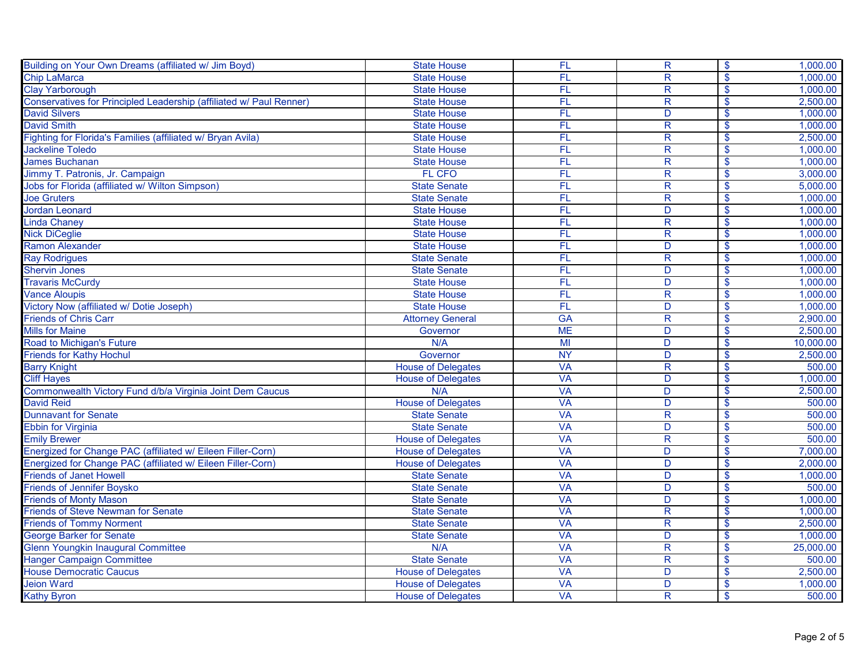| Building on Your Own Dreams (affiliated w/ Jim Boyd)                | <b>State House</b>        | FL        | $\overline{R}$          | $\mathbf{\hat{s}}$       | 1,000.00  |
|---------------------------------------------------------------------|---------------------------|-----------|-------------------------|--------------------------|-----------|
| <b>Chip LaMarca</b>                                                 | <b>State House</b>        | FL        | $\overline{R}$          | $\mathsf{\$}$            | 1,000.00  |
| <b>Clay Yarborough</b>                                              | <b>State House</b>        | FL        | $\overline{\mathsf{R}}$ | $\mathbf{\hat{s}}$       | 1,000.00  |
| Conservatives for Principled Leadership (affiliated w/ Paul Renner) | <b>State House</b>        | FL        | $\overline{\mathsf{R}}$ | $\mathbf{\hat{s}}$       | 2,500.00  |
| <b>David Silvers</b>                                                | <b>State House</b>        | FL        | $\overline{D}$          | $\overline{\mathcal{S}}$ | 1,000.00  |
| <b>David Smith</b>                                                  | <b>State House</b>        | FL        | $\overline{R}$          | $\mathbf{\hat{s}}$       | 1,000.00  |
| Fighting for Florida's Families (affiliated w/ Bryan Avila)         | <b>State House</b>        | FL        | $\overline{R}$          | $\sqrt[6]{\frac{1}{2}}$  | 2,500.00  |
| <b>Jackeline Toledo</b>                                             | <b>State House</b>        | FL        | $\overline{R}$          | $\sqrt[6]{3}$            | 1,000.00  |
| James Buchanan                                                      | <b>State House</b>        | FL        | $\overline{\mathsf{R}}$ | \$                       | 1,000.00  |
| Jimmy T. Patronis, Jr. Campaign                                     | FL CFO                    | FL        | R                       | $\sqrt[6]{\frac{1}{2}}$  | 3,000.00  |
| Jobs for Florida (affiliated w/ Wilton Simpson)                     | <b>State Senate</b>       | FL        | $\overline{R}$          | $\mathbf{\hat{s}}$       | 5,000.00  |
| <b>Joe Gruters</b>                                                  | <b>State Senate</b>       | FL        | $\overline{R}$          | $\mathbf{\hat{s}}$       | 1,000.00  |
| <b>Jordan Leonard</b>                                               | <b>State House</b>        | FL        | $\overline{D}$          | $\sqrt[6]{3}$            | 1,000.00  |
| <b>Linda Chaney</b>                                                 | <b>State House</b>        | FL        | $\overline{R}$          | $\mathbf{\hat{s}}$       | 1,000.00  |
| <b>Nick DiCeglie</b>                                                | <b>State House</b>        | FL        | $\overline{R}$          | $\bullet$                | 1,000.00  |
| <b>Ramon Alexander</b>                                              | <b>State House</b>        | FL        | D                       | $\sqrt[6]{\frac{1}{2}}$  | 1,000.00  |
| <b>Ray Rodrigues</b>                                                | <b>State Senate</b>       | FL        | $\overline{\mathsf{R}}$ | $\mathbf{\hat{s}}$       | 1,000.00  |
| <b>Shervin Jones</b>                                                | <b>State Senate</b>       | FL        | D                       | $\sqrt[6]{\frac{1}{2}}$  | 1,000.00  |
| <b>Travaris McCurdy</b>                                             | <b>State House</b>        | FL        | D                       | $\mathbf{\hat{s}}$       | 1,000.00  |
| <b>Vance Aloupis</b>                                                | <b>State House</b>        | FL        | R                       | $\mathbf{\hat{s}}$       | 1,000.00  |
| Victory Now (affiliated w/ Dotie Joseph)                            | <b>State House</b>        | FL        | D                       | $\sqrt[6]{\frac{1}{2}}$  | 1,000.00  |
| <b>Friends of Chris Carr</b>                                        | <b>Attorney General</b>   | <b>GA</b> | $\overline{\mathsf{R}}$ | $\overline{\mathbf{S}}$  | 2,900.00  |
| <b>Mills for Maine</b>                                              | Governor                  | <b>ME</b> | D                       | $\mathsf{\$}$            | 2,500.00  |
| Road to Michigan's Future                                           | N/A                       | MI        | D                       | $\mathbf{\hat{s}}$       | 10,000.00 |
| Friends for Kathy Hochul                                            | Governor                  | <b>NY</b> | $\overline{D}$          | $\boldsymbol{\$}$        | 2,500.00  |
| <b>Barry Knight</b>                                                 | <b>House of Delegates</b> | <b>VA</b> | $\overline{\mathsf{R}}$ | $\mathbf{\hat{s}}$       | 500.00    |
| <b>Cliff Hayes</b>                                                  | <b>House of Delegates</b> | <b>VA</b> | D                       | $\overline{\mathbf{S}}$  | 1,000.00  |
| Commonwealth Victory Fund d/b/a Virginia Joint Dem Caucus           | N/A                       | <b>VA</b> | D                       | $\mathsf{\$}$            | 2,500.00  |
| <b>David Reid</b>                                                   | <b>House of Delegates</b> | VA        | D                       | $\mathbf{\hat{s}}$       | 500.00    |
| <b>Dunnavant for Senate</b>                                         | <b>State Senate</b>       | <b>VA</b> | $\overline{R}$          | $\sqrt[6]{3}$            | 500.00    |
| <b>Ebbin for Virginia</b>                                           | <b>State Senate</b>       | <b>VA</b> | D                       | $\overline{\mathcal{S}}$ | 500.00    |
| <b>Emily Brewer</b>                                                 | <b>House of Delegates</b> | <b>VA</b> | $\overline{\mathsf{R}}$ | $\mathbf{\hat{s}}$       | 500.00    |
| Energized for Change PAC (affiliated w/ Eileen Filler-Corn)         | <b>House of Delegates</b> | <b>VA</b> | D                       | $\mathbf{\hat{s}}$       | 7,000.00  |
| Energized for Change PAC (affiliated w/ Eileen Filler-Corn)         | <b>House of Delegates</b> | <b>VA</b> | $\overline{D}$          | $\mathbf{\hat{s}}$       | 2,000.00  |
| <b>Friends of Janet Howell</b>                                      | <b>State Senate</b>       | <b>VA</b> | D                       | $\mathbf{\hat{s}}$       | 1,000.00  |
| <b>Friends of Jennifer Boysko</b>                                   | <b>State Senate</b>       | <b>VA</b> | $\overline{D}$          | $\sqrt[6]{3}$            | 500.00    |
| <b>Friends of Monty Mason</b>                                       | <b>State Senate</b>       | <b>VA</b> | D                       | $\mathbf{\hat{s}}$       | 1,000.00  |
| <b>Friends of Steve Newman for Senate</b>                           | <b>State Senate</b>       | <b>VA</b> | $\overline{R}$          | $\bullet$                | 1,000.00  |
| <b>Friends of Tommy Norment</b>                                     | <b>State Senate</b>       | <b>VA</b> | $\overline{\mathsf{R}}$ | $\sqrt[6]{\frac{1}{2}}$  | 2,500.00  |
| <b>George Barker for Senate</b>                                     | <b>State Senate</b>       | <b>VA</b> | D                       | $\overline{\mathbf{S}}$  | 1,000.00  |
| <b>Glenn Youngkin Inaugural Committee</b>                           | N/A                       | <b>VA</b> | $\overline{R}$          | $\mathbf{\hat{s}}$       | 25,000.00 |
| <b>Hanger Campaign Committee</b>                                    | <b>State Senate</b>       | <b>VA</b> | $\mathsf{R}$            | $\mathbf{\hat{s}}$       | 500.00    |
| <b>House Democratic Caucus</b>                                      | <b>House of Delegates</b> | <b>VA</b> | D                       | \$                       | 2,500.00  |
| <b>Jeion Ward</b>                                                   | <b>House of Delegates</b> | <b>VA</b> | D                       | $\overline{\mathbf{S}}$  | 1,000.00  |
| <b>Kathy Byron</b>                                                  | <b>House of Delegates</b> | <b>VA</b> | R                       | $\overline{\mathbf{S}}$  | 500.00    |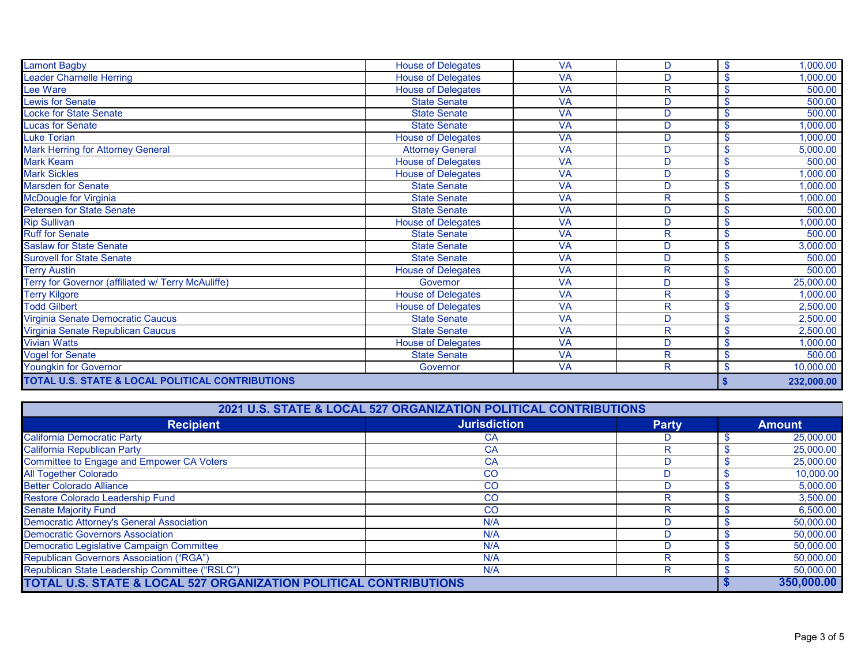| Lamont Bagby                                       | <b>House of Delegates</b> | <b>VA</b> | D            | $\boldsymbol{\mathsf{s}}$ | 1,000.00   |
|----------------------------------------------------|---------------------------|-----------|--------------|---------------------------|------------|
| eader Charnelle Herring                            | <b>House of Delegates</b> | <b>VA</b> | D            | S                         | 1,000.00   |
| ee Ware                                            | House of Delegates        | <b>VA</b> | R            | $\mathbf{s}$              | 500.00     |
| Lewis for Senate                                   | <b>State Senate</b>       | <b>VA</b> | D            | \$                        | 500.00     |
| Locke for State Senate                             | <b>State Senate</b>       | <b>VA</b> | D            | <b>S</b>                  | 500.00     |
| Lucas for Senate                                   | <b>State Senate</b>       | <b>VA</b> | D            | \$                        | 1,000.00   |
| Luke Torian                                        | <b>House of Delegates</b> | <b>VA</b> | D            | \$                        | 1,000.00   |
| <b>Mark Herring for Attorney General</b>           | <b>Attorney General</b>   | <b>VA</b> | D            | \$                        | 5,000.00   |
| <b>Mark Keam</b>                                   | <b>House of Delegates</b> | <b>VA</b> | D            |                           | 500.00     |
| <b>Mark Sickles</b>                                | <b>House of Delegates</b> | <b>VA</b> | D            | \$                        | 1,000.00   |
| Marsden for Senate                                 | <b>State Senate</b>       | <b>VA</b> | D            | \$                        | 1,000.00   |
| McDougle for Virginia                              | <b>State Senate</b>       | <b>VA</b> | R            | $\mathbf{s}$              | 1,000.00   |
| Petersen for State Senate                          | <b>State Senate</b>       | <b>VA</b> | D            | \$                        | 500.00     |
| <b>Rip Sullivan</b>                                | <b>House of Delegates</b> | <b>VA</b> | D            | $\mathbf S$               | ,000.00    |
| <b>Ruff for Senate</b>                             | <b>State Senate</b>       | <b>VA</b> | R            | \$.                       | 500.00     |
| <b>Saslaw for State Senate</b>                     | <b>State Senate</b>       | <b>VA</b> | D            | S.                        | 3,000.00   |
| <b>Surovell for State Senate</b>                   | <b>State Senate</b>       | <b>VA</b> | D            | $\mathbf{S}$              | 500.00     |
| <b>Terry Austin</b>                                | <b>House of Delegates</b> | <b>VA</b> | R            | \$                        | 500.00     |
| Terry for Governor (affiliated w/ Terry McAuliffe) | Governor                  | <b>VA</b> | D            | \$                        | 25,000.00  |
| <b>Terry Kilgore</b>                               | <b>House of Delegates</b> | <b>VA</b> | R            | \$                        | 1,000.00   |
| <b>Todd Gilbert</b>                                | <b>House of Delegates</b> | <b>VA</b> | $\mathsf{R}$ | \$                        | 2,500.00   |
| Virginia Senate Democratic Caucus                  | <b>State Senate</b>       | <b>VA</b> | D.           | \$                        | 2,500.00   |
| Virginia Senate Republican Caucus                  | <b>State Senate</b>       | <b>VA</b> | R            | \$                        | 2,500.00   |
| <b>Vivian Watts</b>                                | House of Delegates        | <b>VA</b> | D            | \$                        | 1,000.00   |
| <b>Vogel for Senate</b>                            | <b>State Senate</b>       | <b>VA</b> | R            | $\mathbf{s}$              | 500.00     |
| <b>Youngkin for Governor</b>                       | Governor                  | <b>VA</b> | R            | \$                        | 10,000.00  |
| TOTAL U.S. STATE & LOCAL POLITICAL CONTRIBUTIONS   |                           |           |              |                           | 232,000.00 |

| 2021 U.S. STATE & LOCAL 527 ORGANIZATION POLITICAL CONTRIBUTIONS  |                     |              |  |               |
|-------------------------------------------------------------------|---------------------|--------------|--|---------------|
| <b>Recipient</b>                                                  | <b>Jurisdiction</b> | <b>Party</b> |  | <b>Amount</b> |
| <b>California Democratic Party</b>                                | CA                  |              |  | 25,000.00     |
| <b>California Republican Party</b>                                | CA                  | R            |  | 25,000.00     |
| <b>Committee to Engage and Empower CA Voters</b>                  | CA                  |              |  | 25,000.00     |
| <b>All Together Colorado</b>                                      | CO                  |              |  | 10,000.00     |
| <b>Better Colorado Alliance</b>                                   | <b>CO</b>           |              |  | 5,000.00      |
| Restore Colorado Leadership Fund                                  | <sub>CO</sub>       |              |  | 3,500.00      |
| <b>Senate Majority Fund</b>                                       | CO                  | R            |  | 6,500.00      |
| <b>Democratic Attorney's General Association</b>                  | N/A                 |              |  | 50,000.00     |
| <b>Democratic Governors Association</b>                           | N/A                 |              |  | 50,000.00     |
| Democratic Legislative Campaign Committee                         | N/A                 |              |  | 50,000.00     |
| <b>Republican Governors Association ("RGA")</b>                   | N/A                 |              |  | 50,000.00     |
| Republican State Leadership Committee ("RSLC")                    | N/A                 | R            |  | 50,000.00     |
| TOTAL U.S. STATE & LOCAL 527 ORGANIZATION POLITICAL CONTRIBUTIONS |                     |              |  | 350,000.00    |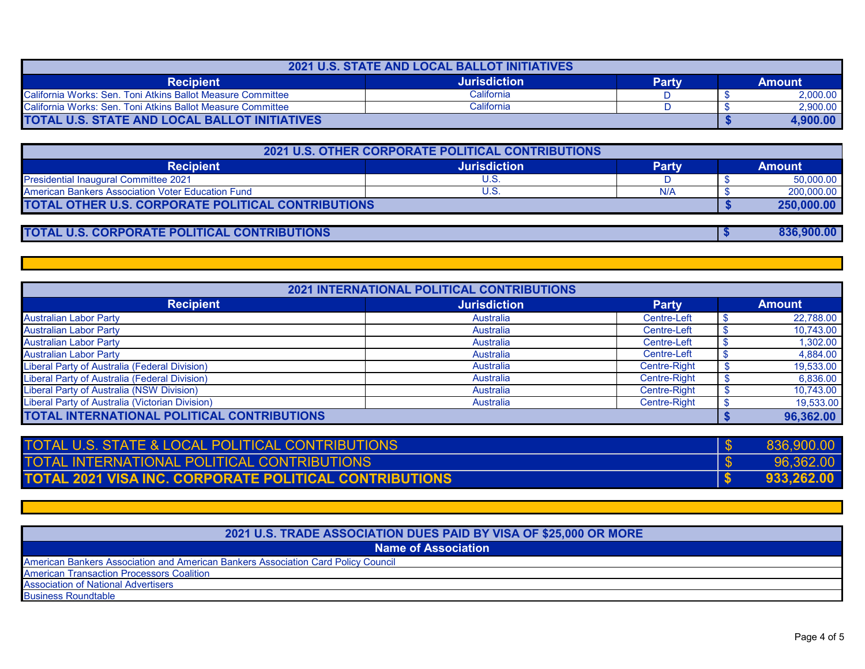| <b>2021 U.S. STATE AND LOCAL BALLOT INITIATIVES</b>         |                     |       |  |               |  |
|-------------------------------------------------------------|---------------------|-------|--|---------------|--|
| <b>Recipient</b>                                            | <b>Jurisdiction</b> | Partv |  | <b>Amount</b> |  |
| California Works: Sen. Toni Atkins Ballot Measure Committee | California          |       |  | 2.000.00      |  |
| California Works: Sen. Toni Atkins Ballot Measure Committee | California          |       |  | 2.900.00      |  |
| TOTAL U.S. STATE AND LOCAL BALLOT INITIATIVES               |                     |       |  | 4,900.00      |  |

| 2021 U.S. OTHER CORPORATE POLITICAL CONTRIBUTIONS         |                     |              |  |               |  |
|-----------------------------------------------------------|---------------------|--------------|--|---------------|--|
| <b>Recipient</b>                                          | <b>Jurisdiction</b> | <b>Party</b> |  | <b>Amount</b> |  |
| <b>Presidential Inaugural Committee 2021</b>              | U.S                 |              |  | 50,000.00     |  |
| American Bankers Association Voter Education Fund         | U.S                 | N/A          |  | 200.000.00    |  |
| <b>TOTAL OTHER U.S. CORPORATE POLITICAL CONTRIBUTIONS</b> |                     |              |  | 250.000.00    |  |
|                                                           |                     |              |  |               |  |

## **TOTAL U.S. CORPORATE POLITICAL CONTRIBUTIONS**

|                                                 | <b>2021 INTERNATIONAL POLITICAL CONTRIBUTIONS</b> |              |               |
|-------------------------------------------------|---------------------------------------------------|--------------|---------------|
| <b>Recipient</b>                                | <b>Jurisdiction</b>                               | <b>Party</b> | <b>Amount</b> |
| <b>Australian Labor Party</b>                   | Australia                                         | Centre-Left  | 22,788.00     |
| <b>Australian Labor Party</b>                   | Australia                                         | Centre-Left  | 10,743.00     |
| <b>Australian Labor Party</b>                   | Australia                                         | Centre-Left  | 1,302.00      |
| <b>Australian Labor Party</b>                   | Australia                                         | Centre-Left  | 4,884.00      |
| Liberal Party of Australia (Federal Division)   | Australia                                         | Centre-Right | 19,533.00     |
| Liberal Party of Australia (Federal Division)   | Australia                                         | Centre-Right | 6,836.00      |
| Liberal Party of Australia (NSW Division)       | Australia                                         | Centre-Right | 10,743.00     |
| Liberal Party of Australia (Victorian Division) | Australia                                         | Centre-Right | 19,533.00     |
| TOTAL INTERNATIONAL POLITICAL CONTRIBUTIONS     |                                                   |              | 96,362.00     |

| TOTAL U.S. STATE & LOCAL POLITICAL CONTRIBUTIONS              | 836.900.00 |
|---------------------------------------------------------------|------------|
| TOTAL INTERNATIONAL POLITICAL CONTRIBUTIONS                   | 96,362.00  |
| <b>TOTAL 2021 VISA INC. CORPORATE POLITICAL CONTRIBUTIONS</b> | 933.262.00 |

| 2021 U.S. TRADE ASSOCIATION DUES PAID BY VISA OF \$25,000 OR MORE                 |
|-----------------------------------------------------------------------------------|
| <b>Name of Association</b>                                                        |
| American Bankers Association and American Bankers Association Card Policy Council |
| <b>American Transaction Processors Coalition</b>                                  |
| <b>Association of National Advertisers</b>                                        |
| <b>Business Roundtable</b>                                                        |

 **\$ 836,900.00**